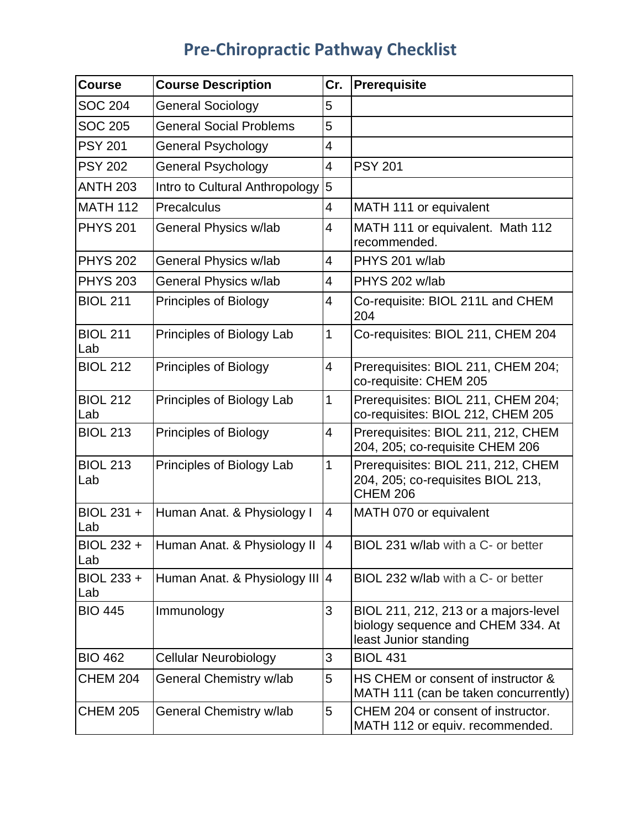## **Pre-Chiropractic Pathway Checklist**

| <b>Course</b>          | <b>Course Description</b>      | Cr.            | <b>Prerequisite</b>                                                                                |
|------------------------|--------------------------------|----------------|----------------------------------------------------------------------------------------------------|
| <b>SOC 204</b>         | General Sociology              | 5              |                                                                                                    |
| <b>SOC 205</b>         | <b>General Social Problems</b> | 5              |                                                                                                    |
| <b>PSY 201</b>         | <b>General Psychology</b>      | 4              |                                                                                                    |
| <b>PSY 202</b>         | <b>General Psychology</b>      | 4              | <b>PSY 201</b>                                                                                     |
| <b>ANTH 203</b>        | Intro to Cultural Anthropology | 5              |                                                                                                    |
| <b>MATH 112</b>        | Precalculus                    | $\overline{4}$ | MATH 111 or equivalent                                                                             |
| <b>PHYS 201</b>        | General Physics w/lab          | 4              | MATH 111 or equivalent. Math 112<br>recommended.                                                   |
| <b>PHYS 202</b>        | General Physics w/lab          | 4              | PHYS 201 w/lab                                                                                     |
| <b>PHYS 203</b>        | General Physics w/lab          | 4              | PHYS 202 w/lab                                                                                     |
| <b>BIOL 211</b>        | Principles of Biology          | 4              | Co-requisite: BIOL 211L and CHEM<br>204                                                            |
| <b>BIOL 211</b><br>Lab | Principles of Biology Lab      | 1              | Co-requisites: BIOL 211, CHEM 204                                                                  |
| <b>BIOL 212</b>        | <b>Principles of Biology</b>   | 4              | Prerequisites: BIOL 211, CHEM 204;<br>co-requisite: CHEM 205                                       |
| <b>BIOL 212</b><br>Lab | Principles of Biology Lab      | 1              | Prerequisites: BIOL 211, CHEM 204;<br>co-requisites: BIOL 212, CHEM 205                            |
| <b>BIOL 213</b>        | <b>Principles of Biology</b>   | 4              | Prerequisites: BIOL 211, 212, CHEM<br>204, 205; co-requisite CHEM 206                              |
| <b>BIOL 213</b><br>Lab | Principles of Biology Lab      | 1              | Prerequisites: BIOL 211, 212, CHEM<br>204, 205; co-requisites BIOL 213,<br><b>CHEM 206</b>         |
| BIOL 231 +<br>Lab      | Human Anat. & Physiology I     | 4              | MATH 070 or equivalent                                                                             |
| BIOL 232 +<br>Lab      | Human Anat. & Physiology II 4  |                | BIOL 231 w/lab with a C- or better                                                                 |
| BIOL 233 +<br>Lab      | Human Anat. & Physiology III 4 |                | BIOL 232 w/lab with a C- or better                                                                 |
| <b>BIO 445</b>         | Immunology                     | 3              | BIOL 211, 212, 213 or a majors-level<br>biology sequence and CHEM 334. At<br>least Junior standing |
| <b>BIO 462</b>         | <b>Cellular Neurobiology</b>   | 3              | <b>BIOL 431</b>                                                                                    |
| <b>CHEM 204</b>        | General Chemistry w/lab        | 5              | HS CHEM or consent of instructor &<br>MATH 111 (can be taken concurrently)                         |
| <b>CHEM 205</b>        | General Chemistry w/lab        | 5              | CHEM 204 or consent of instructor.<br>MATH 112 or equiv. recommended.                              |